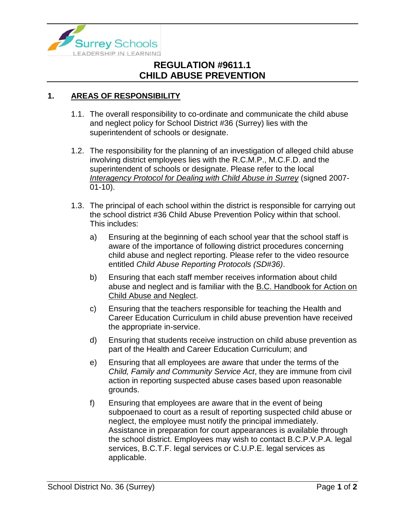

## **REGULATION #9611.1 CHILD ABUSE PREVENTION**

## **1. AREAS OF RESPONSIBILITY**

- 1.1. The overall responsibility to co-ordinate and communicate the child abuse and neglect policy for School District #36 (Surrey) lies with the superintendent of schools or designate.
- 1.2. The responsibility for the planning of an investigation of alleged child abuse involving district employees lies with the R.C.M.P., M.C.F.D. and the superintendent of schools or designate. Please refer to the local *Interagency Protocol for Dealing with Child Abuse in Surrey* (signed 2007- 01-10).
- 1.3. The principal of each school within the district is responsible for carrying out the school district #36 Child Abuse Prevention Policy within that school. This includes:
	- a) Ensuring at the beginning of each school year that the school staff is aware of the importance of following district procedures concerning child abuse and neglect reporting. Please refer to the video resource entitled *Child Abuse Reporting Protocols (SD#36)*.
	- b) Ensuring that each staff member receives information about child abuse and neglect and is familiar with the B.C. Handbook for Action on Child Abuse and Neglect.
	- c) Ensuring that the teachers responsible for teaching the Health and Career Education Curriculum in child abuse prevention have received the appropriate in-service.
	- d) Ensuring that students receive instruction on child abuse prevention as part of the Health and Career Education Curriculum; and
	- e) Ensuring that all employees are aware that under the terms of the *Child, Family and Community Service Act*, they are immune from civil action in reporting suspected abuse cases based upon reasonable grounds.
	- f) Ensuring that employees are aware that in the event of being subpoenaed to court as a result of reporting suspected child abuse or neglect, the employee must notify the principal immediately. Assistance in preparation for court appearances is available through the school district. Employees may wish to contact B.C.P.V.P.A. legal services, B.C.T.F. legal services or C.U.P.E. legal services as applicable.